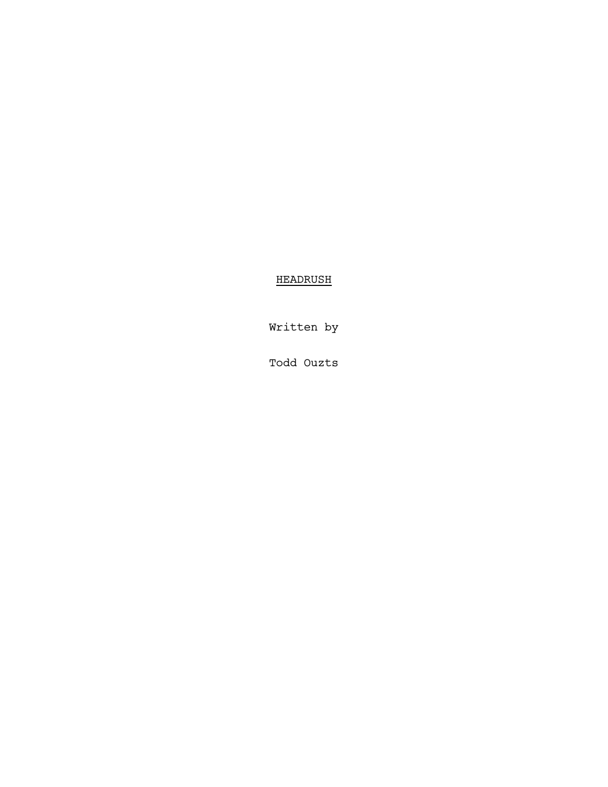# HEADRUSH

Written by

Todd Ouzts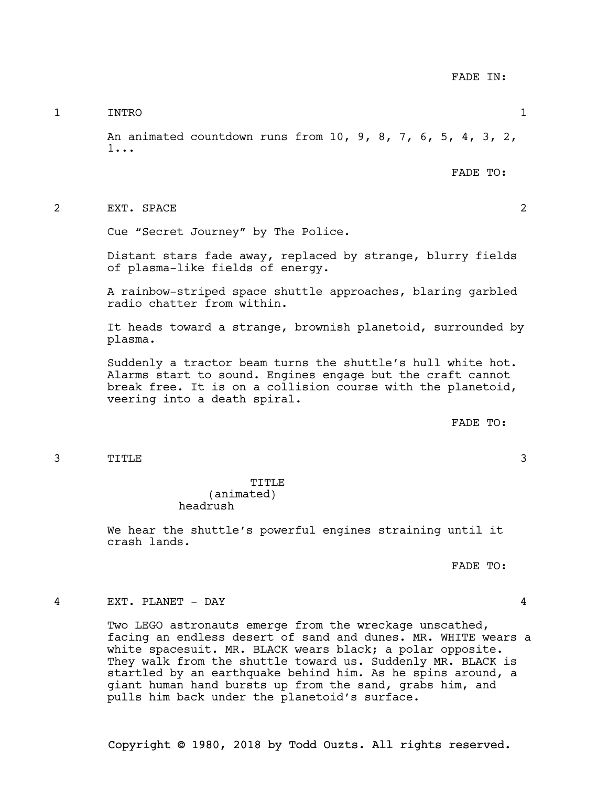1 INTRO 1

An animated countdown runs from 10, 9, 8, 7, 6, 5, 4, 3, 2, 1...

FADE TO:

2 EXT. SPACE 2

Cue "Secret Journey" by The Police.

Distant stars fade away, replaced by strange, blurry fields of plasma-like fields of energy.

A rainbow-striped space shuttle approaches, blaring garbled radio chatter from within.

It heads toward a strange, brownish planetoid, surrounded by plasma.

Suddenly a tractor beam turns the shuttle's hull white hot. Alarms start to sound. Engines engage but the craft cannot break free. It is on a collision course with the planetoid, veering into a death spiral.

FADE TO:

3 TITLE 3

TITLE (animated) headrush

We hear the shuttle's powerful engines straining until it crash lands.

FADE TO:

### 4 EXT. PLANET - DAY 4

Two LEGO astronauts emerge from the wreckage unscathed, facing an endless desert of sand and dunes. MR. WHITE wears a white spacesuit. MR. BLACK wears black; a polar opposite. They walk from the shuttle toward us. Suddenly MR. BLACK is startled by an earthquake behind him. As he spins around, a giant human hand bursts up from the sand, grabs him, and pulls him back under the planetoid's surface.

Copyright © 1980, 2018 by Todd Ouzts. All rights reserved.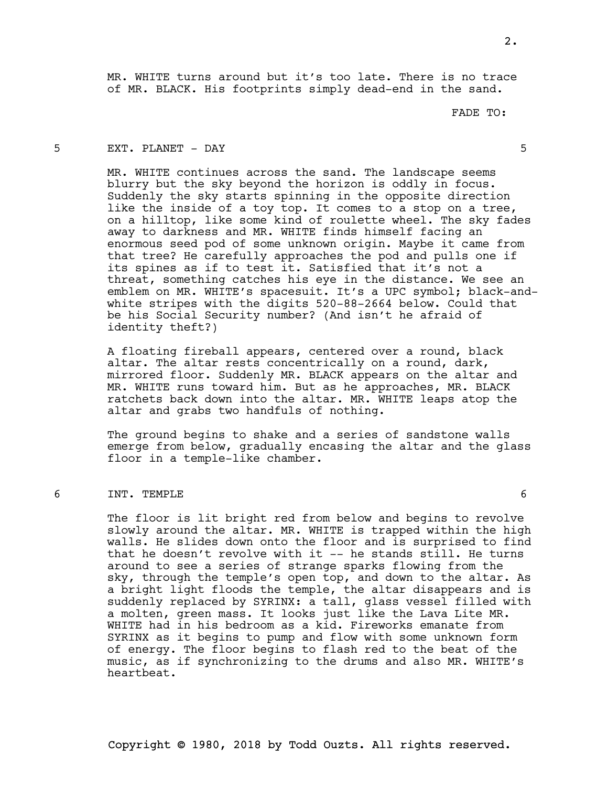MR. WHITE turns around but it's too late. There is no trace of MR. BLACK. His footprints simply dead-end in the sand.

FADE TO:

# 5 EXT. PLANET - DAY 5

MR. WHITE continues across the sand. The landscape seems blurry but the sky beyond the horizon is oddly in focus. Suddenly the sky starts spinning in the opposite direction like the inside of a toy top. It comes to a stop on a tree, on a hilltop, like some kind of roulette wheel. The sky fades away to darkness and MR. WHITE finds himself facing an enormous seed pod of some unknown origin. Maybe it came from that tree? He carefully approaches the pod and pulls one if its spines as if to test it. Satisfied that it's not a threat, something catches his eye in the distance. We see an emblem on MR. WHITE's spacesuit. It's a UPC symbol; black-andwhite stripes with the digits 520-88-2664 below. Could that be his Social Security number? (And isn't he afraid of identity theft?)

A floating fireball appears, centered over a round, black altar. The altar rests concentrically on a round, dark, mirrored floor. Suddenly MR. BLACK appears on the altar and MR. WHITE runs toward him. But as he approaches, MR. BLACK ratchets back down into the altar. MR. WHITE leaps atop the altar and grabs two handfuls of nothing.

The ground begins to shake and a series of sandstone walls emerge from below, gradually encasing the altar and the glass floor in a temple-like chamber.

#### 6 INT. TEMPLE 6

The floor is lit bright red from below and begins to revolve slowly around the altar. MR. WHITE is trapped within the high walls. He slides down onto the floor and is surprised to find that he doesn't revolve with it -- he stands still. He turns around to see a series of strange sparks flowing from the sky, through the temple's open top, and down to the altar. As a bright light floods the temple, the altar disappears and is suddenly replaced by SYRINX: a tall, glass vessel filled with a molten, green mass. It looks just like the Lava Lite MR. WHITE had in his bedroom as a kid. Fireworks emanate from SYRINX as it begins to pump and flow with some unknown form of energy. The floor begins to flash red to the beat of the music, as if synchronizing to the drums and also MR. WHITE's heartbeat.

2.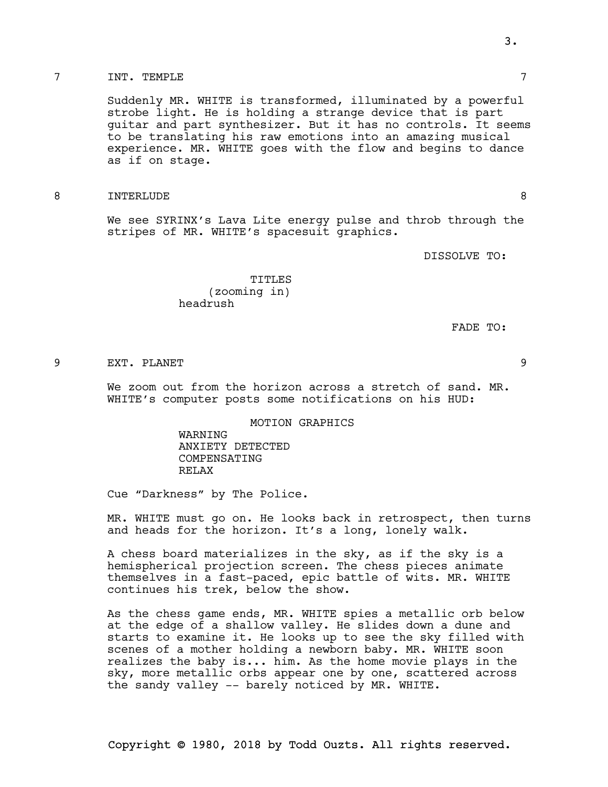### 7 INT. TEMPLE 7

Suddenly MR. WHITE is transformed, illuminated by a powerful strobe light. He is holding a strange device that is part guitar and part synthesizer. But it has no controls. It seems to be translating his raw emotions into an amazing musical experience. MR. WHITE goes with the flow and begins to dance as if on stage.

#### 8 INTERLUDE 8

We see SYRINX's Lava Lite energy pulse and throb through the stripes of MR. WHITE's spacesuit graphics.

DISSOLVE TO:

TITLES (zooming in) headrush

FADE TO:

#### 9 EXT. PLANET 9

We zoom out from the horizon across a stretch of sand. MR. WHITE's computer posts some notifications on his HUD:

MOTION GRAPHICS

WARNING ANXIETY DETECTED COMPENSATING RELAX

Cue "Darkness" by The Police.

MR. WHITE must go on. He looks back in retrospect, then turns and heads for the horizon. It's a long, lonely walk.

A chess board materializes in the sky, as if the sky is a hemispherical projection screen. The chess pieces animate themselves in a fast-paced, epic battle of wits. MR. WHITE continues his trek, below the show.

As the chess game ends, MR. WHITE spies a metallic orb below at the edge of a shallow valley. He slides down a dune and starts to examine it. He looks up to see the sky filled with scenes of a mother holding a newborn baby. MR. WHITE soon realizes the baby is... him. As the home movie plays in the sky, more metallic orbs appear one by one, scattered across the sandy valley -- barely noticed by MR. WHITE.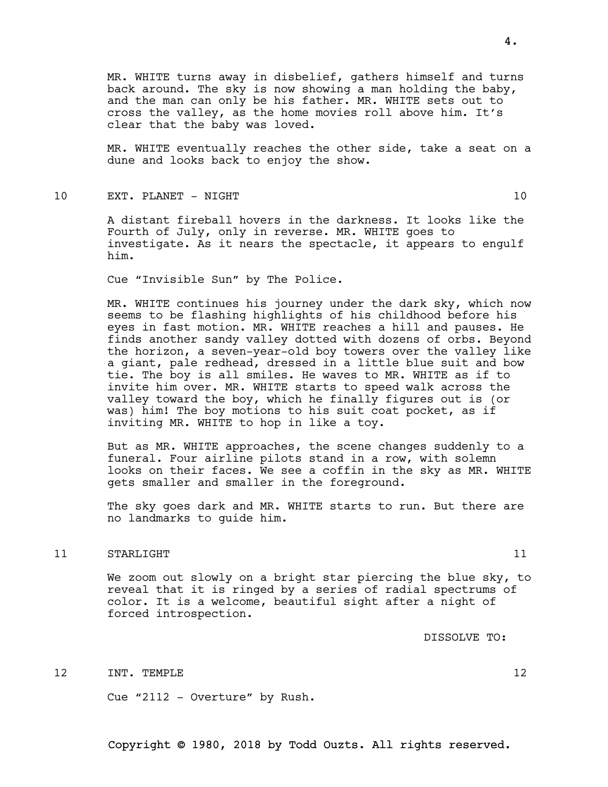MR. WHITE turns away in disbelief, gathers himself and turns back around. The sky is now showing a man holding the baby, and the man can only be his father. MR. WHITE sets out to cross the valley, as the home movies roll above him. It's clear that the baby was loved.

MR. WHITE eventually reaches the other side, take a seat on a dune and looks back to enjoy the show.

### 10 EXT. PLANET - NIGHT 10

A distant fireball hovers in the darkness. It looks like the Fourth of July, only in reverse. MR. WHITE goes to investigate. As it nears the spectacle, it appears to engulf him.

Cue "Invisible Sun" by The Police.

MR. WHITE continues his journey under the dark sky, which now seems to be flashing highlights of his childhood before his eyes in fast motion. MR. WHITE reaches a hill and pauses. He finds another sandy valley dotted with dozens of orbs. Beyond the horizon, a seven-year-old boy towers over the valley like a giant, pale redhead, dressed in a little blue suit and bow tie. The boy is all smiles. He waves to MR. WHITE as if to invite him over. MR. WHITE starts to speed walk across the valley toward the boy, which he finally figures out is (or was) him! The boy motions to his suit coat pocket, as if inviting MR. WHITE to hop in like a toy.

But as MR. WHITE approaches, the scene changes suddenly to a funeral. Four airline pilots stand in a row, with solemn looks on their faces. We see a coffin in the sky as MR. WHITE gets smaller and smaller in the foreground.

The sky goes dark and MR. WHITE starts to run. But there are no landmarks to guide him.

#### 11 STARLIGHT 11 and 11 and 11 and 11 and 11 and 11 and 11 and 11 and 11 and 11 and 11 and 11 and 11 and 11 and 11 and 11 and 11 and 11 and 11 and 11 and 11 and 11 and 11 and 11 and 11 and 11 and 11 and 11 and 11 and 12 and

We zoom out slowly on a bright star piercing the blue sky, to reveal that it is ringed by a series of radial spectrums of color. It is a welcome, beautiful sight after a night of forced introspection.

DISSOLVE TO:

12 INT. TEMPLE 12

Cue "2112 - Overture" by Rush.

Copyright © 1980, 2018 by Todd Ouzts. All rights reserved.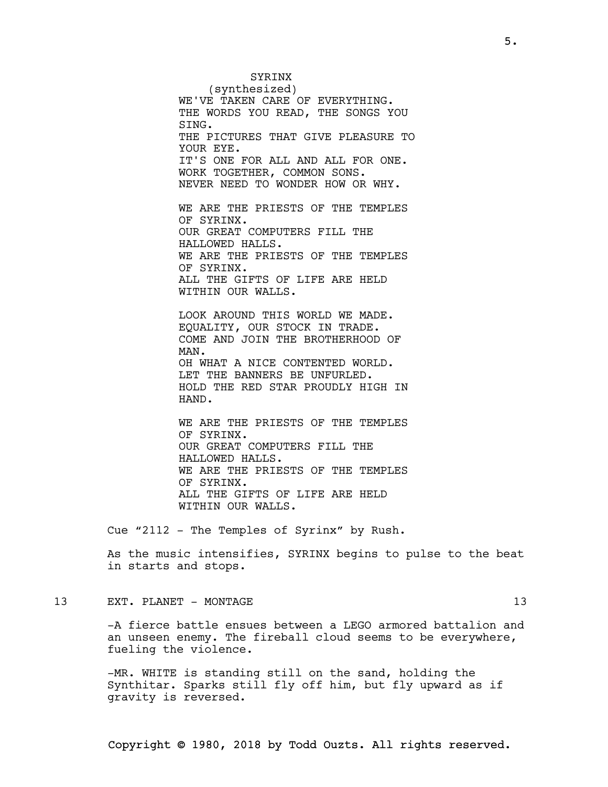(synthesized) WE'VE TAKEN CARE OF EVERYTHING. THE WORDS YOU READ, THE SONGS YOU THE PICTURES THAT GIVE PLEASURE TO IT'S ONE FOR ALL AND ALL FOR ONE. WORK TOGETHER, COMMON SONS. NEVER NEED TO WONDER HOW OR WHY.

WE ARE THE PRIESTS OF THE TEMPLES OF SYRINX. OUR GREAT COMPUTERS FILL THE HALLOWED HALLS. WE ARE THE PRIESTS OF THE TEMPLES OF SYRINX. ALL THE GIFTS OF LIFE ARE HELD WITHIN OUR WALLS.

**SYRINX** 

SING.

YOUR EYE.

LOOK AROUND THIS WORLD WE MADE. EQUALITY, OUR STOCK IN TRADE. COME AND JOIN THE BROTHERHOOD OF MAN. OH WHAT A NICE CONTENTED WORLD. LET THE BANNERS BE UNFURLED. HOLD THE RED STAR PROUDLY HIGH IN HAND.

WE ARE THE PRIESTS OF THE TEMPLES OF SYRINX. OUR GREAT COMPUTERS FILL THE HALLOWED HALLS. WE ARE THE PRIESTS OF THE TEMPLES OF SYRINX. ALL THE GIFTS OF LIFE ARE HELD WITHIN OUR WALLS.

Cue "2112 - The Temples of Syrinx" by Rush.

As the music intensifies, SYRINX begins to pulse to the beat in starts and stops.

13 EXT. PLANET – MONTAGE 13

-A fierce battle ensues between a LEGO armored battalion and an unseen enemy. The fireball cloud seems to be everywhere, fueling the violence.

-MR. WHITE is standing still on the sand, holding the Synthitar. Sparks still fly off him, but fly upward as if gravity is reversed.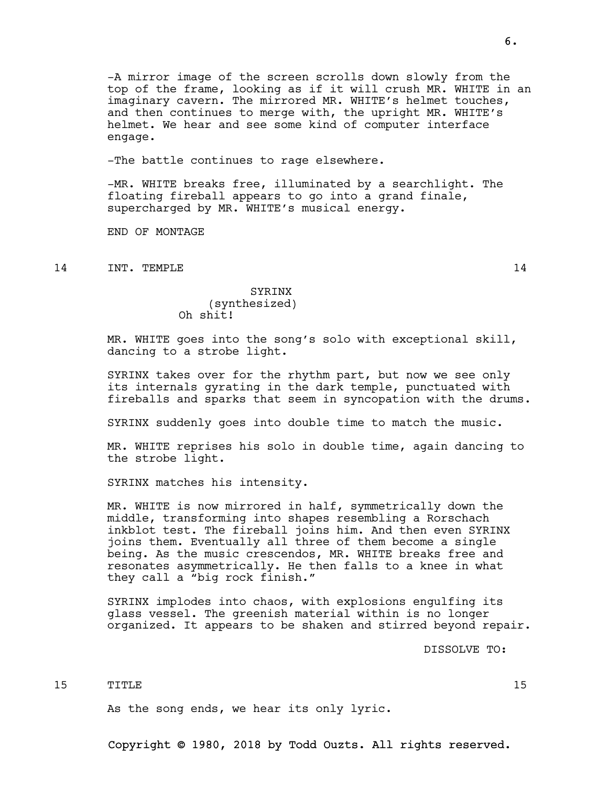-A mirror image of the screen scrolls down slowly from the top of the frame, looking as if it will crush MR. WHITE in an imaginary cavern. The mirrored MR. WHITE's helmet touches, and then continues to merge with, the upright MR. WHITE's helmet. We hear and see some kind of computer interface engage.

-The battle continues to rage elsewhere.

-MR. WHITE breaks free, illuminated by a searchlight. The floating fireball appears to go into a grand finale, supercharged by MR. WHITE's musical energy.

END OF MONTAGE

14 INT. TEMPLE 14

# SYRINX (synthesized) Oh shit!

MR. WHITE goes into the song's solo with exceptional skill, dancing to a strobe light.

SYRINX takes over for the rhythm part, but now we see only its internals gyrating in the dark temple, punctuated with fireballs and sparks that seem in syncopation with the drums.

SYRINX suddenly goes into double time to match the music.

MR. WHITE reprises his solo in double time, again dancing to the strobe light.

SYRINX matches his intensity.

MR. WHITE is now mirrored in half, symmetrically down the middle, transforming into shapes resembling a Rorschach inkblot test. The fireball joins him. And then even SYRINX joins them. Eventually all three of them become a single being. As the music crescendos, MR. WHITE breaks free and resonates asymmetrically. He then falls to a knee in what they call a "big rock finish."

SYRINX implodes into chaos, with explosions engulfing its glass vessel. The greenish material within is no longer organized. It appears to be shaken and stirred beyond repair.

DISSOLVE TO:

15 TITLE 15

As the song ends, we hear its only lyric.

Copyright © 1980, 2018 by Todd Ouzts. All rights reserved.